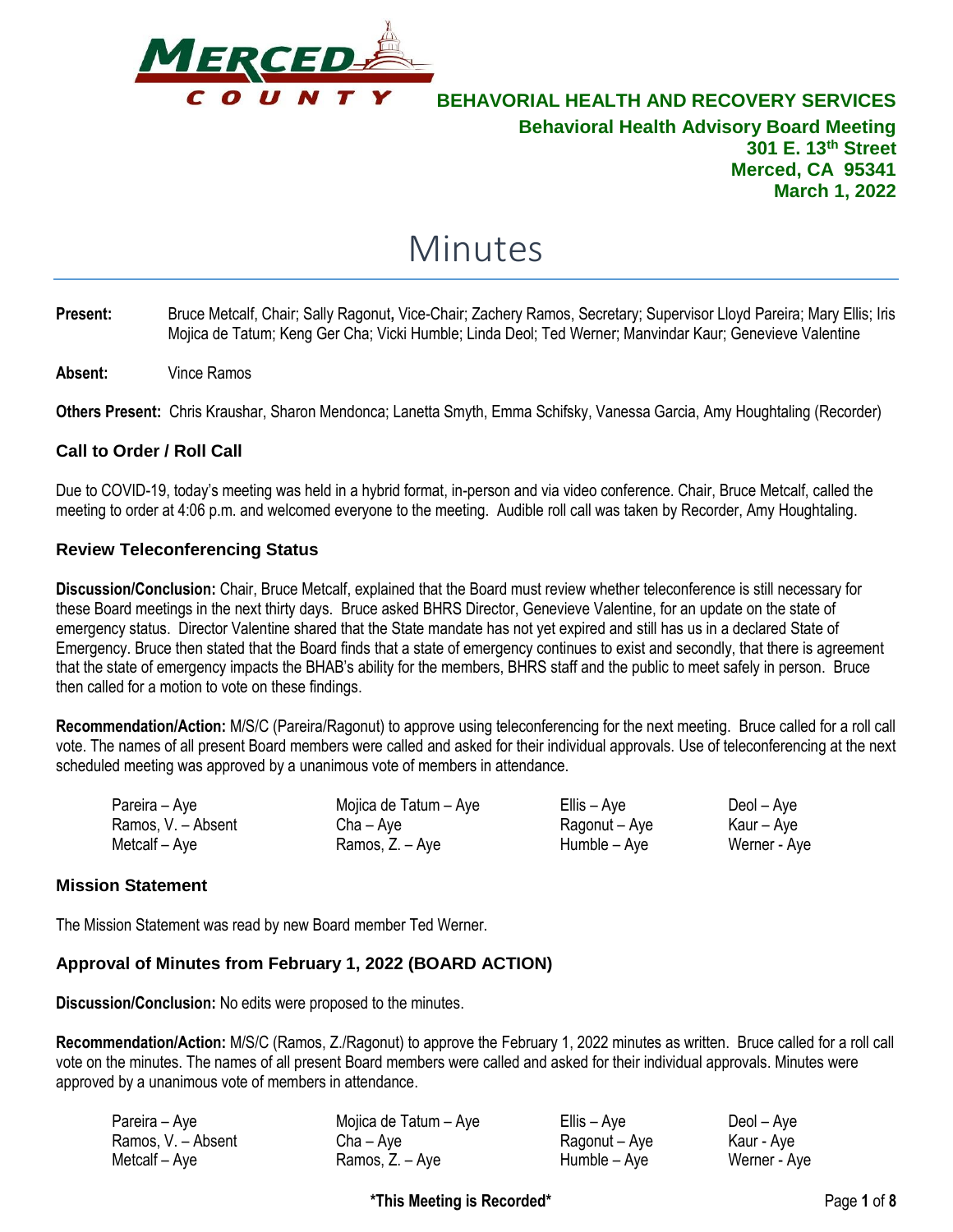

# Minutes

- **Present:** Bruce Metcalf, Chair; Sally Ragonut**,** Vice-Chair; Zachery Ramos, Secretary; Supervisor Lloyd Pareira; Mary Ellis; Iris Mojica de Tatum; Keng Ger Cha; Vicki Humble; Linda Deol; Ted Werner; Manvindar Kaur; Genevieve Valentine
- **Absent:** Vince Ramos

**Others Present:** Chris Kraushar, Sharon Mendonca; Lanetta Smyth, Emma Schifsky, Vanessa Garcia, Amy Houghtaling (Recorder)

### **Call to Order / Roll Call**

Due to COVID-19, today's meeting was held in a hybrid format, in-person and via video conference. Chair, Bruce Metcalf, called the meeting to order at 4:06 p.m. and welcomed everyone to the meeting. Audible roll call was taken by Recorder, Amy Houghtaling.

### **Review Teleconferencing Status**

**Discussion/Conclusion:** Chair, Bruce Metcalf, explained that the Board must review whether teleconference is still necessary for these Board meetings in the next thirty days. Bruce asked BHRS Director, Genevieve Valentine, for an update on the state of emergency status. Director Valentine shared that the State mandate has not yet expired and still has us in a declared State of Emergency. Bruce then stated that the Board finds that a state of emergency continues to exist and secondly, that there is agreement that the state of emergency impacts the BHAB's ability for the members, BHRS staff and the public to meet safely in person. Bruce then called for a motion to vote on these findings.

**Recommendation/Action:** M/S/C (Pareira/Ragonut) to approve using teleconferencing for the next meeting. Bruce called for a roll call vote. The names of all present Board members were called and asked for their individual approvals. Use of teleconferencing at the next scheduled meeting was approved by a unanimous vote of members in attendance.

| Pareira – Aye      | Mojica de Tatum – Aye | Ellis – Aye   | Deol – Aye   |
|--------------------|-----------------------|---------------|--------------|
| Ramos, V. - Absent | $Cha - Ave$           | Ragonut – Aye | Kaur – Aye   |
| Metcalf – Aye      | Ramos, Z. – Aye       | Humble – Aye  | Werner - Aye |

### **Mission Statement**

The Mission Statement was read by new Board member Ted Werner.

### **Approval of Minutes from February 1, 2022 (BOARD ACTION)**

**Discussion/Conclusion:** No edits were proposed to the minutes.

**Recommendation/Action:** M/S/C (Ramos, Z./Ragonut) to approve the February 1, 2022 minutes as written. Bruce called for a roll call vote on the minutes. The names of all present Board members were called and asked for their individual approvals. Minutes were approved by a unanimous vote of members in attendance.

| Pareira – Aye      | Mojica de Tatum – Aye | Ellis – Aye   | Deol – Aye   |
|--------------------|-----------------------|---------------|--------------|
| Ramos, V. - Absent | $Cha - Ave$           | Ragonut – Aye | Kaur - Aye   |
| Metcalf - Aye      | Ramos, Z. – Aye       | Humble – Aye  | Werner - Aye |

**\*This Meeting is Recorded\*** Page **1** of **8**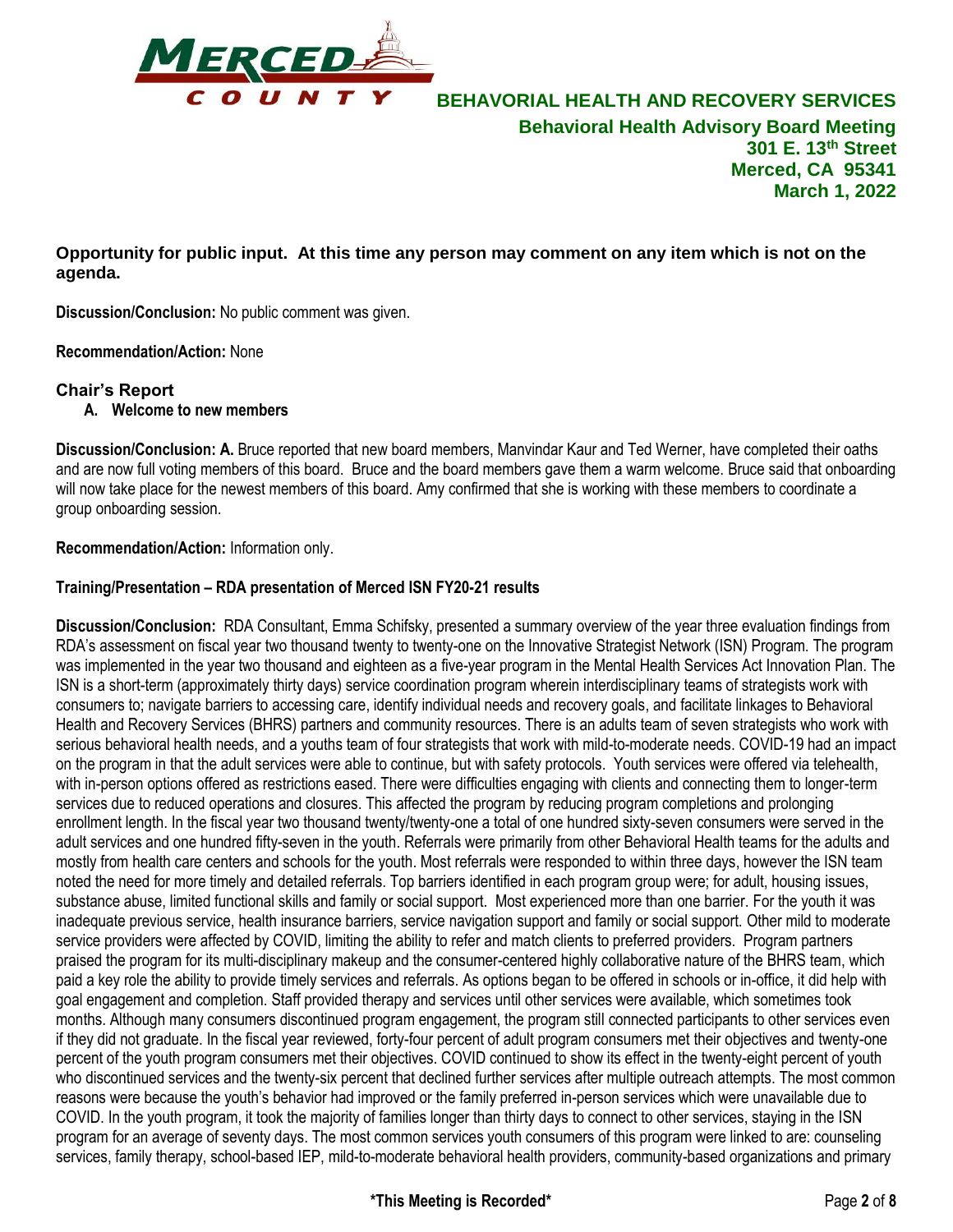

**Opportunity for public input. At this time any person may comment on any item which is not on the agenda.**

**Discussion/Conclusion:** No public comment was given.

**Recommendation/Action:** None

### **Chair's Report**

**A. Welcome to new members**

**Discussion/Conclusion: A.** Bruce reported that new board members, Manvindar Kaur and Ted Werner, have completed their oaths and are now full voting members of this board. Bruce and the board members gave them a warm welcome. Bruce said that onboarding will now take place for the newest members of this board. Amy confirmed that she is working with these members to coordinate a group onboarding session.

**Recommendation/Action:** Information only.

### **Training/Presentation – RDA presentation of Merced ISN FY20-21 results**

**Discussion/Conclusion:** RDA Consultant, Emma Schifsky, presented a summary overview of the year three evaluation findings from RDA's assessment on fiscal year two thousand twenty to twenty-one on the Innovative Strategist Network (ISN) Program. The program was implemented in the year two thousand and eighteen as a five-year program in the Mental Health Services Act Innovation Plan. The ISN is a short-term (approximately thirty days) service coordination program wherein interdisciplinary teams of strategists work with consumers to; navigate barriers to accessing care, identify individual needs and recovery goals, and facilitate linkages to Behavioral Health and Recovery Services (BHRS) partners and community resources. There is an adults team of seven strategists who work with serious behavioral health needs, and a youths team of four strategists that work with mild-to-moderate needs. COVID-19 had an impact on the program in that the adult services were able to continue, but with safety protocols. Youth services were offered via telehealth, with in-person options offered as restrictions eased. There were difficulties engaging with clients and connecting them to longer-term services due to reduced operations and closures. This affected the program by reducing program completions and prolonging enrollment length. In the fiscal year two thousand twenty/twenty-one a total of one hundred sixty-seven consumers were served in the adult services and one hundred fifty-seven in the youth. Referrals were primarily from other Behavioral Health teams for the adults and mostly from health care centers and schools for the youth. Most referrals were responded to within three days, however the ISN team noted the need for more timely and detailed referrals. Top barriers identified in each program group were; for adult, housing issues, substance abuse, limited functional skills and family or social support. Most experienced more than one barrier. For the youth it was inadequate previous service, health insurance barriers, service navigation support and family or social support. Other mild to moderate service providers were affected by COVID, limiting the ability to refer and match clients to preferred providers. Program partners praised the program for its multi-disciplinary makeup and the consumer-centered highly collaborative nature of the BHRS team, which paid a key role the ability to provide timely services and referrals. As options began to be offered in schools or in-office, it did help with goal engagement and completion. Staff provided therapy and services until other services were available, which sometimes took months. Although many consumers discontinued program engagement, the program still connected participants to other services even if they did not graduate. In the fiscal year reviewed, forty-four percent of adult program consumers met their objectives and twenty-one percent of the youth program consumers met their objectives. COVID continued to show its effect in the twenty-eight percent of youth who discontinued services and the twenty-six percent that declined further services after multiple outreach attempts. The most common reasons were because the youth's behavior had improved or the family preferred in-person services which were unavailable due to COVID. In the youth program, it took the majority of families longer than thirty days to connect to other services, staying in the ISN program for an average of seventy days. The most common services youth consumers of this program were linked to are: counseling services, family therapy, school-based IEP, mild-to-moderate behavioral health providers, community-based organizations and primary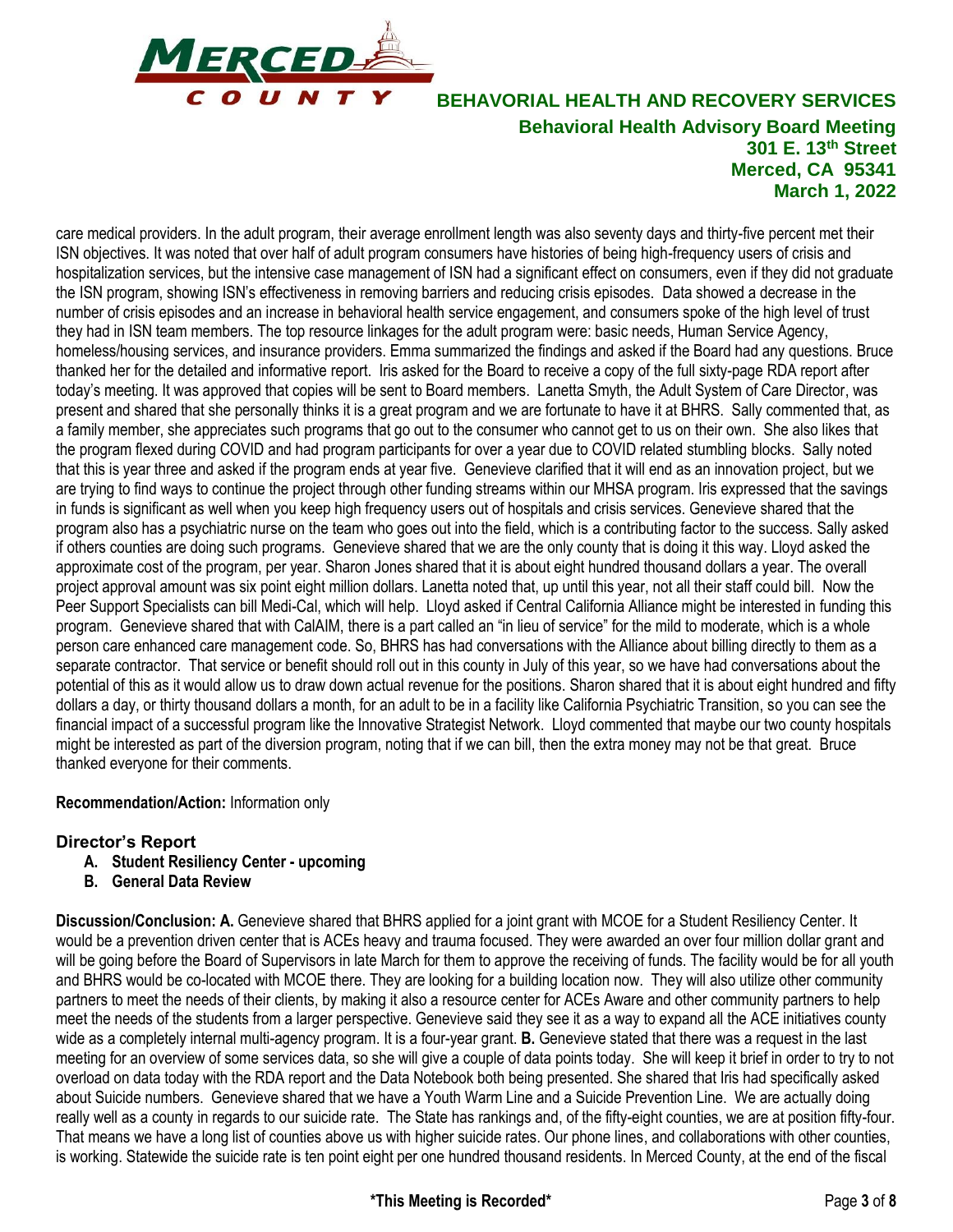

care medical providers. In the adult program, their average enrollment length was also seventy days and thirty-five percent met their ISN objectives. It was noted that over half of adult program consumers have histories of being high-frequency users of crisis and hospitalization services, but the intensive case management of ISN had a significant effect on consumers, even if they did not graduate the ISN program, showing ISN's effectiveness in removing barriers and reducing crisis episodes. Data showed a decrease in the number of crisis episodes and an increase in behavioral health service engagement, and consumers spoke of the high level of trust they had in ISN team members. The top resource linkages for the adult program were: basic needs, Human Service Agency, homeless/housing services, and insurance providers. Emma summarized the findings and asked if the Board had any questions. Bruce thanked her for the detailed and informative report. Iris asked for the Board to receive a copy of the full sixty-page RDA report after today's meeting. It was approved that copies will be sent to Board members. Lanetta Smyth, the Adult System of Care Director, was present and shared that she personally thinks it is a great program and we are fortunate to have it at BHRS. Sally commented that, as a family member, she appreciates such programs that go out to the consumer who cannot get to us on their own. She also likes that the program flexed during COVID and had program participants for over a year due to COVID related stumbling blocks. Sally noted that this is year three and asked if the program ends at year five. Genevieve clarified that it will end as an innovation project, but we are trying to find ways to continue the project through other funding streams within our MHSA program. Iris expressed that the savings in funds is significant as well when you keep high frequency users out of hospitals and crisis services. Genevieve shared that the program also has a psychiatric nurse on the team who goes out into the field, which is a contributing factor to the success. Sally asked if others counties are doing such programs. Genevieve shared that we are the only county that is doing it this way. Lloyd asked the approximate cost of the program, per year. Sharon Jones shared that it is about eight hundred thousand dollars a year. The overall project approval amount was six point eight million dollars. Lanetta noted that, up until this year, not all their staff could bill. Now the Peer Support Specialists can bill Medi-Cal, which will help. Lloyd asked if Central California Alliance might be interested in funding this program. Genevieve shared that with CalAIM, there is a part called an "in lieu of service" for the mild to moderate, which is a whole person care enhanced care management code. So, BHRS has had conversations with the Alliance about billing directly to them as a separate contractor. That service or benefit should roll out in this county in July of this year, so we have had conversations about the potential of this as it would allow us to draw down actual revenue for the positions. Sharon shared that it is about eight hundred and fifty dollars a day, or thirty thousand dollars a month, for an adult to be in a facility like California Psychiatric Transition, so you can see the financial impact of a successful program like the Innovative Strategist Network. Lloyd commented that maybe our two county hospitals might be interested as part of the diversion program, noting that if we can bill, then the extra money may not be that great. Bruce thanked everyone for their comments.

### **Recommendation/Action:** Information only

### **Director's Report**

- **A. Student Resiliency Center - upcoming**
- **B. General Data Review**

**Discussion/Conclusion: A.** Genevieve shared that BHRS applied for a joint grant with MCOE for a Student Resiliency Center. It would be a prevention driven center that is ACEs heavy and trauma focused. They were awarded an over four million dollar grant and will be going before the Board of Supervisors in late March for them to approve the receiving of funds. The facility would be for all youth and BHRS would be co-located with MCOE there. They are looking for a building location now. They will also utilize other community partners to meet the needs of their clients, by making it also a resource center for ACEs Aware and other community partners to help meet the needs of the students from a larger perspective. Genevieve said they see it as a way to expand all the ACE initiatives county wide as a completely internal multi-agency program. It is a four-year grant. **B.** Genevieve stated that there was a request in the last meeting for an overview of some services data, so she will give a couple of data points today. She will keep it brief in order to try to not overload on data today with the RDA report and the Data Notebook both being presented. She shared that Iris had specifically asked about Suicide numbers. Genevieve shared that we have a Youth Warm Line and a Suicide Prevention Line. We are actually doing really well as a county in regards to our suicide rate. The State has rankings and, of the fifty-eight counties, we are at position fifty-four. That means we have a long list of counties above us with higher suicide rates. Our phone lines, and collaborations with other counties, is working. Statewide the suicide rate is ten point eight per one hundred thousand residents. In Merced County, at the end of the fiscal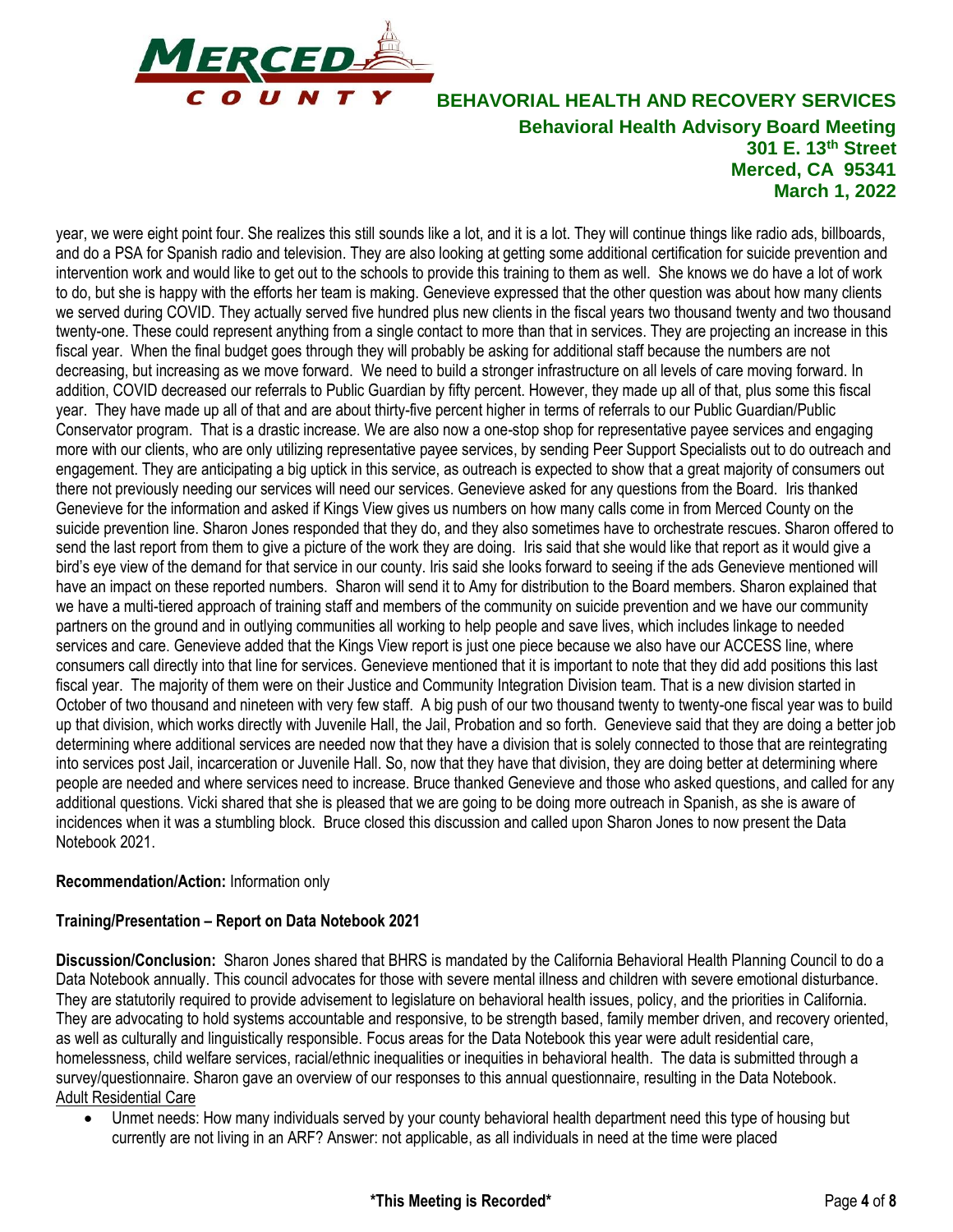

year, we were eight point four. She realizes this still sounds like a lot, and it is a lot. They will continue things like radio ads, billboards, and do a PSA for Spanish radio and television. They are also looking at getting some additional certification for suicide prevention and intervention work and would like to get out to the schools to provide this training to them as well. She knows we do have a lot of work to do, but she is happy with the efforts her team is making. Genevieve expressed that the other question was about how many clients we served during COVID. They actually served five hundred plus new clients in the fiscal years two thousand twenty and two thousand twenty-one. These could represent anything from a single contact to more than that in services. They are projecting an increase in this fiscal year. When the final budget goes through they will probably be asking for additional staff because the numbers are not decreasing, but increasing as we move forward. We need to build a stronger infrastructure on all levels of care moving forward. In addition, COVID decreased our referrals to Public Guardian by fifty percent. However, they made up all of that, plus some this fiscal year. They have made up all of that and are about thirty-five percent higher in terms of referrals to our Public Guardian/Public Conservator program. That is a drastic increase. We are also now a one-stop shop for representative payee services and engaging more with our clients, who are only utilizing representative payee services, by sending Peer Support Specialists out to do outreach and engagement. They are anticipating a big uptick in this service, as outreach is expected to show that a great majority of consumers out there not previously needing our services will need our services. Genevieve asked for any questions from the Board. Iris thanked Genevieve for the information and asked if Kings View gives us numbers on how many calls come in from Merced County on the suicide prevention line. Sharon Jones responded that they do, and they also sometimes have to orchestrate rescues. Sharon offered to send the last report from them to give a picture of the work they are doing. Iris said that she would like that report as it would give a bird's eye view of the demand for that service in our county. Iris said she looks forward to seeing if the ads Genevieve mentioned will have an impact on these reported numbers. Sharon will send it to Amy for distribution to the Board members. Sharon explained that we have a multi-tiered approach of training staff and members of the community on suicide prevention and we have our community partners on the ground and in outlying communities all working to help people and save lives, which includes linkage to needed services and care. Genevieve added that the Kings View report is just one piece because we also have our ACCESS line, where consumers call directly into that line for services. Genevieve mentioned that it is important to note that they did add positions this last fiscal year. The majority of them were on their Justice and Community Integration Division team. That is a new division started in October of two thousand and nineteen with very few staff. A big push of our two thousand twenty to twenty-one fiscal year was to build up that division, which works directly with Juvenile Hall, the Jail, Probation and so forth. Genevieve said that they are doing a better job determining where additional services are needed now that they have a division that is solely connected to those that are reintegrating into services post Jail, incarceration or Juvenile Hall. So, now that they have that division, they are doing better at determining where people are needed and where services need to increase. Bruce thanked Genevieve and those who asked questions, and called for any additional questions. Vicki shared that she is pleased that we are going to be doing more outreach in Spanish, as she is aware of incidences when it was a stumbling block. Bruce closed this discussion and called upon Sharon Jones to now present the Data Notebook 2021.

### **Recommendation/Action:** Information only

### **Training/Presentation – Report on Data Notebook 2021**

**Discussion/Conclusion:** Sharon Jones shared that BHRS is mandated by the California Behavioral Health Planning Council to do a Data Notebook annually. This council advocates for those with severe mental illness and children with severe emotional disturbance. They are statutorily required to provide advisement to legislature on behavioral health issues, policy, and the priorities in California. They are advocating to hold systems accountable and responsive, to be strength based, family member driven, and recovery oriented, as well as culturally and linguistically responsible. Focus areas for the Data Notebook this year were adult residential care, homelessness, child welfare services, racial/ethnic inequalities or inequities in behavioral health. The data is submitted through a survey/questionnaire. Sharon gave an overview of our responses to this annual questionnaire, resulting in the Data Notebook. Adult Residential Care

• Unmet needs: How many individuals served by your county behavioral health department need this type of housing but currently are not living in an ARF? Answer: not applicable, as all individuals in need at the time were placed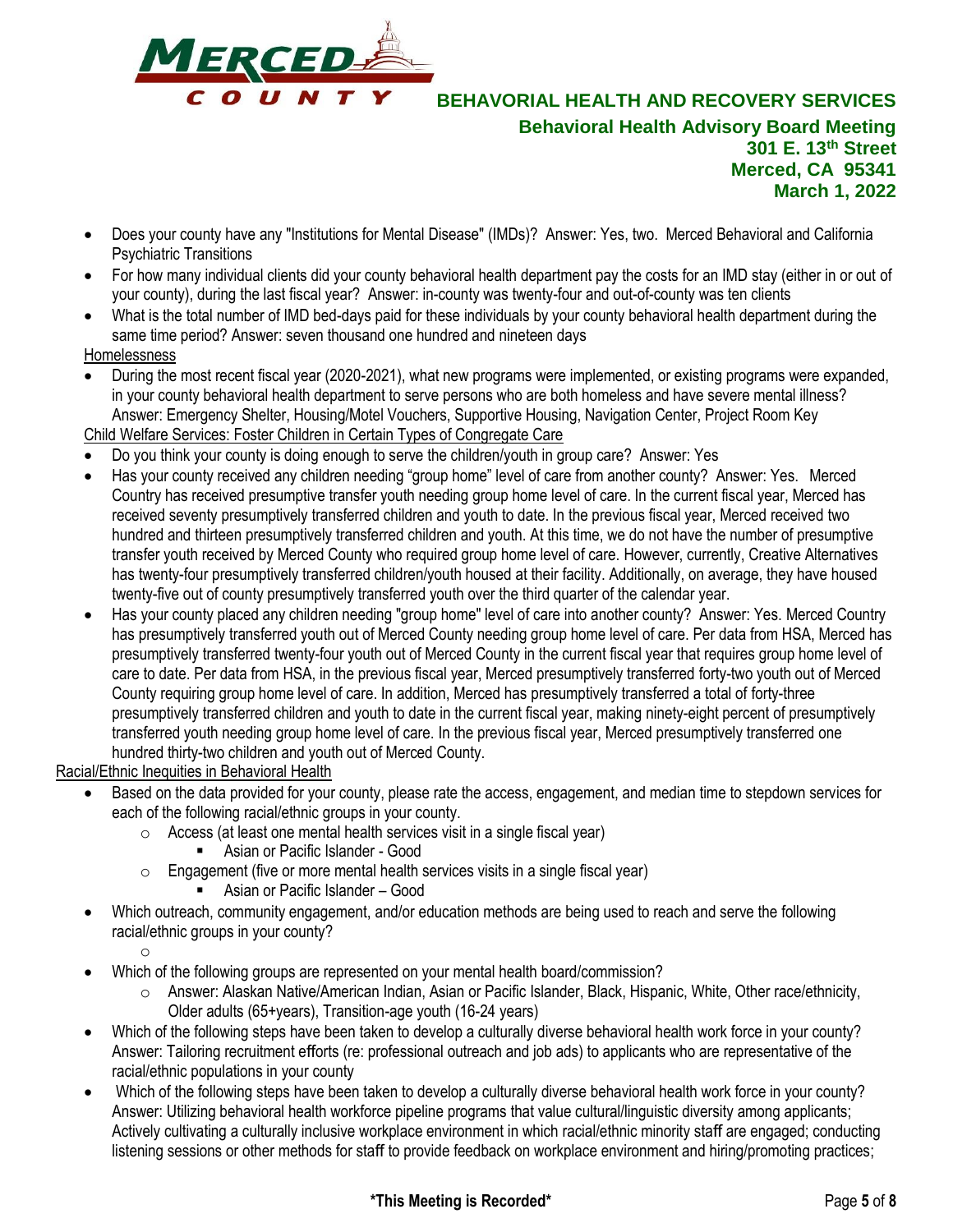

- Does your county have any "Institutions for Mental Disease" (IMDs)? Answer: Yes, two. Merced Behavioral and California Psychiatric Transitions
- For how many individual clients did your county behavioral health department pay the costs for an IMD stay (either in or out of your county), during the last fiscal year? Answer: in-county was twenty-four and out-of-county was ten clients
- What is the total number of IMD bed-days paid for these individuals by your county behavioral health department during the same time period? Answer: seven thousand one hundred and nineteen days

### Homelessness

- During the most recent fiscal year (2020-2021), what new programs were implemented, or existing programs were expanded, in your county behavioral health department to serve persons who are both homeless and have severe mental illness? Answer: Emergency Shelter, Housing/Motel Vouchers, Supportive Housing, Navigation Center, Project Room Key
- Child Welfare Services: Foster Children in Certain Types of Congregate Care
- Do you think your county is doing enough to serve the children/youth in group care? Answer: Yes
- Has your county received any children needing "group home" level of care from another county? Answer: Yes. Merced Country has received presumptive transfer youth needing group home level of care. In the current fiscal year, Merced has received seventy presumptively transferred children and youth to date. In the previous fiscal year, Merced received two hundred and thirteen presumptively transferred children and youth. At this time, we do not have the number of presumptive transfer youth received by Merced County who required group home level of care. However, currently, Creative Alternatives has twenty-four presumptively transferred children/youth housed at their facility. Additionally, on average, they have housed twenty-five out of county presumptively transferred youth over the third quarter of the calendar year.
- Has your county placed any children needing "group home" level of care into another county? Answer: Yes. Merced Country has presumptively transferred youth out of Merced County needing group home level of care. Per data from HSA, Merced has presumptively transferred twenty-four youth out of Merced County in the current fiscal year that requires group home level of care to date. Per data from HSA, in the previous fiscal year, Merced presumptively transferred forty-two youth out of Merced County requiring group home level of care. In addition, Merced has presumptively transferred a total of forty-three presumptively transferred children and youth to date in the current fiscal year, making ninety-eight percent of presumptively transferred youth needing group home level of care. In the previous fiscal year, Merced presumptively transferred one hundred thirty-two children and youth out of Merced County.

Racial/Ethnic Inequities in Behavioral Health

- Based on the data provided for your county, please rate the access, engagement, and median time to stepdown services for each of the following racial/ethnic groups in your county.
	- $\circ$  Access (at least one mental health services visit in a single fiscal year)
		- Asian or Pacific Islander Good
	- $\circ$  Engagement (five or more mental health services visits in a single fiscal year)
		- Asian or Pacific Islander Good
- Which outreach, community engagement, and/or education methods are being used to reach and serve the following racial/ethnic groups in your county?

o

- Which of the following groups are represented on your mental health board/commission?
	- o Answer: Alaskan Native/American Indian, Asian or Pacific Islander, Black, Hispanic, White, Other race/ethnicity, Older adults (65+years), Transition-age youth (16-24 years)
- Which of the following steps have been taken to develop a culturally diverse behavioral health work force in your county? Answer: Tailoring recruitment efforts (re: professional outreach and job ads) to applicants who are representative of the racial/ethnic populations in your county
- Which of the following steps have been taken to develop a culturally diverse behavioral health work force in your county? Answer: Utilizing behavioral health workforce pipeline programs that value cultural/linguistic diversity among applicants; Actively cultivating a culturally inclusive workplace environment in which racial/ethnic minority staff are engaged; conducting listening sessions or other methods for staff to provide feedback on workplace environment and hiring/promoting practices;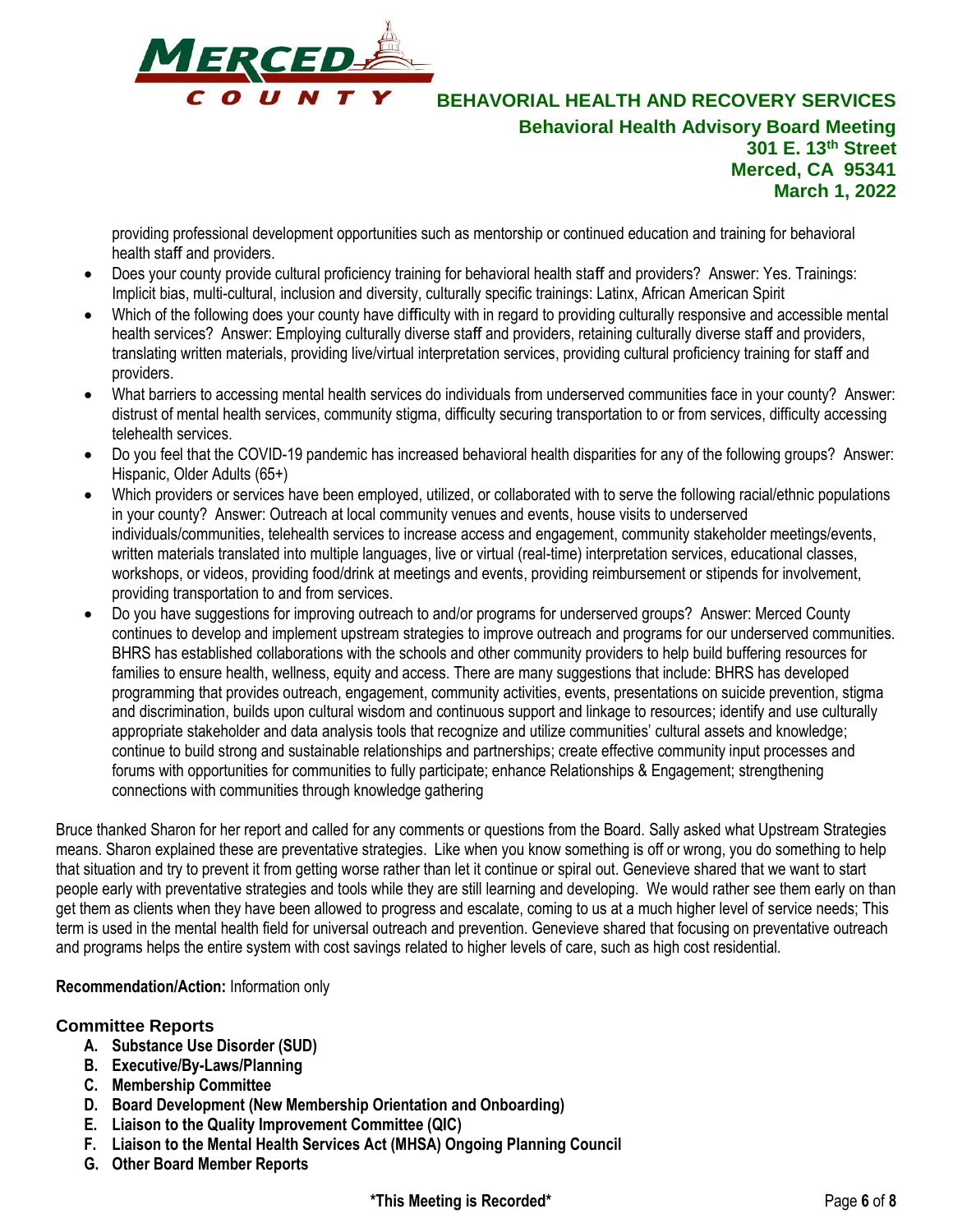

providing professional development opportunities such as mentorship or continued education and training for behavioral health staff and providers.

- Does your county provide cultural proficiency training for behavioral health staff and providers? Answer: Yes. Trainings: Implicit bias, multi-cultural, inclusion and diversity, culturally specific trainings: Latinx, African American Spirit
- Which of the following does your county have difficulty with in regard to providing culturally responsive and accessible mental health services? Answer: Employing culturally diverse staff and providers, retaining culturally diverse staff and providers, translating written materials, providing live/virtual interpretation services, providing cultural proficiency training for staff and providers.
- What barriers to accessing mental health services do individuals from underserved communities face in your county? Answer: distrust of mental health services, community stigma, difficulty securing transportation to or from services, difficulty accessing telehealth services.
- Do you feel that the COVID-19 pandemic has increased behavioral health disparities for any of the following groups? Answer: Hispanic, Older Adults (65+)
- Which providers or services have been employed, utilized, or collaborated with to serve the following racial/ethnic populations in your county? Answer: Outreach at local community venues and events, house visits to underserved individuals/communities, telehealth services to increase access and engagement, community stakeholder meetings/events, written materials translated into multiple languages, live or virtual (real-time) interpretation services, educational classes, workshops, or videos, providing food/drink at meetings and events, providing reimbursement or stipends for involvement, providing transportation to and from services.
- Do you have suggestions for improving outreach to and/or programs for underserved groups? Answer: Merced County continues to develop and implement upstream strategies to improve outreach and programs for our underserved communities. BHRS has established collaborations with the schools and other community providers to help build buffering resources for families to ensure health, wellness, equity and access. There are many suggestions that include: BHRS has developed programming that provides outreach, engagement, community activities, events, presentations on suicide prevention, stigma and discrimination, builds upon cultural wisdom and continuous support and linkage to resources; identify and use culturally appropriate stakeholder and data analysis tools that recognize and utilize communities' cultural assets and knowledge; continue to build strong and sustainable relationships and partnerships; create effective community input processes and forums with opportunities for communities to fully participate; enhance Relationships & Engagement; strengthening connections with communities through knowledge gathering

Bruce thanked Sharon for her report and called for any comments or questions from the Board. Sally asked what Upstream Strategies means. Sharon explained these are preventative strategies. Like when you know something is off or wrong, you do something to help that situation and try to prevent it from getting worse rather than let it continue or spiral out. Genevieve shared that we want to start people early with preventative strategies and tools while they are still learning and developing. We would rather see them early on than get them as clients when they have been allowed to progress and escalate, coming to us at a much higher level of service needs; This term is used in the mental health field for universal outreach and prevention. Genevieve shared that focusing on preventative outreach and programs helps the entire system with cost savings related to higher levels of care, such as high cost residential.

### **Recommendation/Action:** Information only

### **Committee Reports**

- **A. Substance Use Disorder (SUD)**
- **B. Executive/By-Laws/Planning**
- **C. Membership Committee**
- **D. Board Development (New Membership Orientation and Onboarding)**
- **E. Liaison to the Quality Improvement Committee (QIC)**
- **F. Liaison to the Mental Health Services Act (MHSA) Ongoing Planning Council**
- **G. Other Board Member Reports**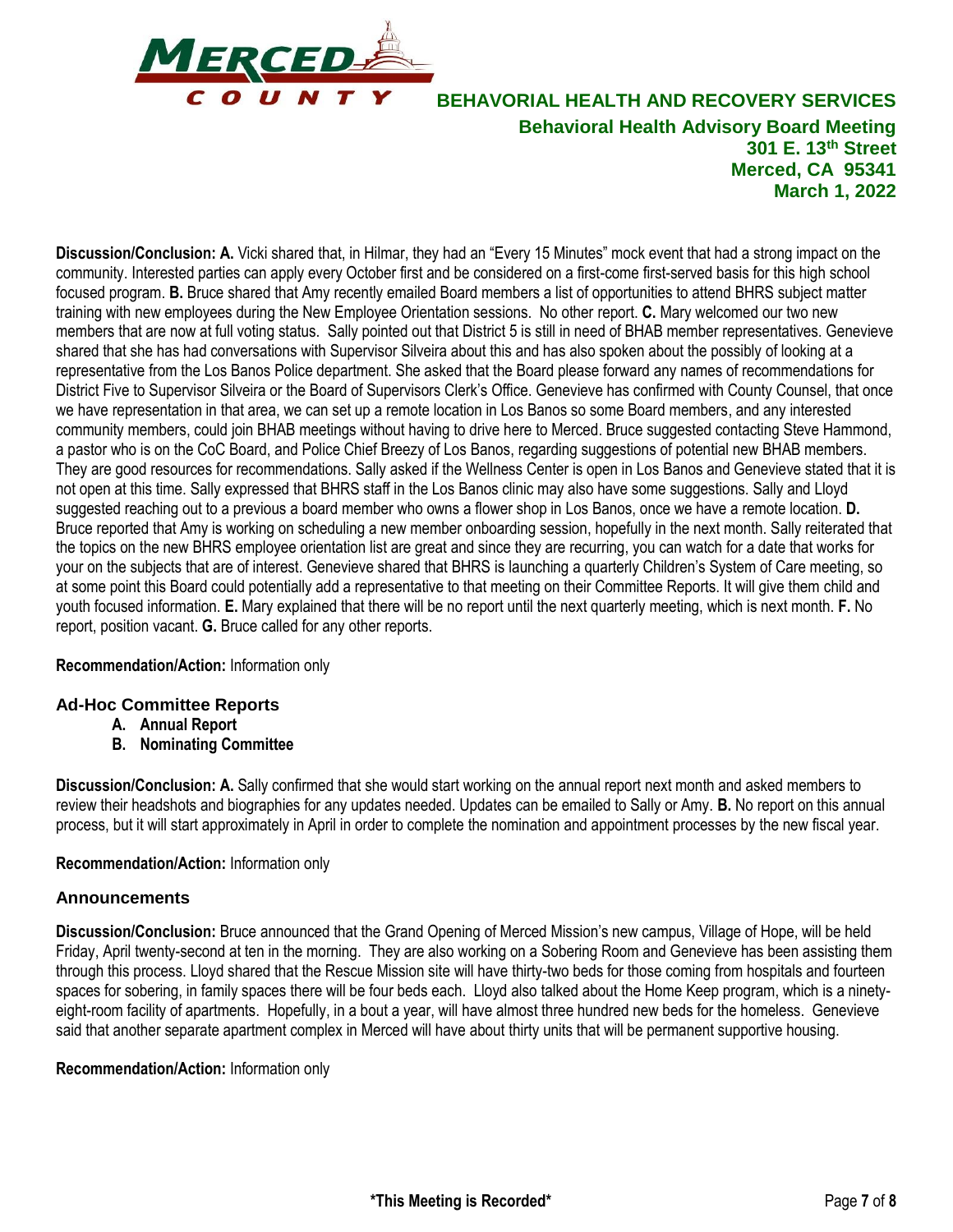

**Discussion/Conclusion: A.** Vicki shared that, in Hilmar, they had an "Every 15 Minutes" mock event that had a strong impact on the community. Interested parties can apply every October first and be considered on a first-come first-served basis for this high school focused program. **B.** Bruce shared that Amy recently emailed Board members a list of opportunities to attend BHRS subject matter training with new employees during the New Employee Orientation sessions. No other report. **C.** Mary welcomed our two new members that are now at full voting status. Sally pointed out that District 5 is still in need of BHAB member representatives. Genevieve shared that she has had conversations with Supervisor Silveira about this and has also spoken about the possibly of looking at a representative from the Los Banos Police department. She asked that the Board please forward any names of recommendations for District Five to Supervisor Silveira or the Board of Supervisors Clerk's Office. Genevieve has confirmed with County Counsel, that once we have representation in that area, we can set up a remote location in Los Banos so some Board members, and any interested community members, could join BHAB meetings without having to drive here to Merced. Bruce suggested contacting Steve Hammond, a pastor who is on the CoC Board, and Police Chief Breezy of Los Banos, regarding suggestions of potential new BHAB members. They are good resources for recommendations. Sally asked if the Wellness Center is open in Los Banos and Genevieve stated that it is not open at this time. Sally expressed that BHRS staff in the Los Banos clinic may also have some suggestions. Sally and Lloyd suggested reaching out to a previous a board member who owns a flower shop in Los Banos, once we have a remote location. **D.** Bruce reported that Amy is working on scheduling a new member onboarding session, hopefully in the next month. Sally reiterated that the topics on the new BHRS employee orientation list are great and since they are recurring, you can watch for a date that works for your on the subjects that are of interest. Genevieve shared that BHRS is launching a quarterly Children's System of Care meeting, so at some point this Board could potentially add a representative to that meeting on their Committee Reports. It will give them child and youth focused information. **E.** Mary explained that there will be no report until the next quarterly meeting, which is next month. **F.** No report, position vacant. **G.** Bruce called for any other reports.

### **Recommendation/Action:** Information only

### **Ad-Hoc Committee Reports**

- **A. Annual Report**
- **B. Nominating Committee**

**Discussion/Conclusion: A.** Sally confirmed that she would start working on the annual report next month and asked members to review their headshots and biographies for any updates needed. Updates can be emailed to Sally or Amy. **B.** No report on this annual process, but it will start approximately in April in order to complete the nomination and appointment processes by the new fiscal year.

### **Recommendation/Action:** Information only

### **Announcements**

**Discussion/Conclusion:** Bruce announced that the Grand Opening of Merced Mission's new campus, Village of Hope, will be held Friday, April twenty-second at ten in the morning. They are also working on a Sobering Room and Genevieve has been assisting them through this process. Lloyd shared that the Rescue Mission site will have thirty-two beds for those coming from hospitals and fourteen spaces for sobering, in family spaces there will be four beds each. Lloyd also talked about the Home Keep program, which is a ninetyeight-room facility of apartments. Hopefully, in a bout a year, will have almost three hundred new beds for the homeless. Genevieve said that another separate apartment complex in Merced will have about thirty units that will be permanent supportive housing.

### **Recommendation/Action:** Information only